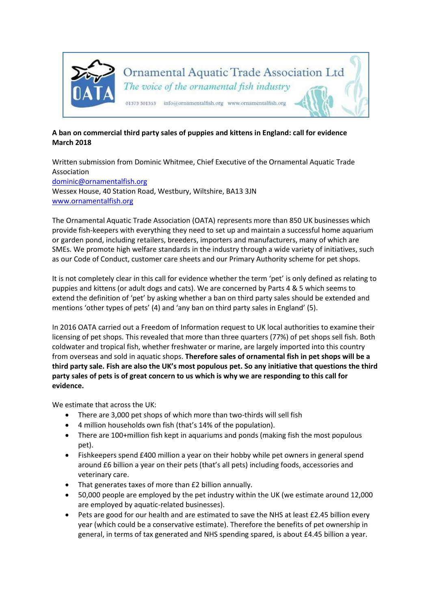

## **A ban on commercial third party sales of puppies and kittens in England: call for evidence March 2018**

Written submission from Dominic Whitmee, Chief Executive of the Ornamental Aquatic Trade Association [dominic@ornamentalfish.org](mailto:dominic@ornamentalfish.org) Wessex House, 40 Station Road, Westbury, Wiltshire, BA13 3JN [www.ornamentalfish.org](http://www.ornamentalfish.org/)

The Ornamental Aquatic Trade Association (OATA) represents more than 850 UK businesses which provide fish-keepers with everything they need to set up and maintain a successful home aquarium or garden pond, including retailers, breeders, importers and manufacturers, many of which are SMEs. We promote high welfare standards in the industry through a wide variety of initiatives, such as our Code of Conduct, customer care sheets and our Primary Authority scheme for pet shops.

It is not completely clear in this call for evidence whether the term 'pet' is only defined as relating to puppies and kittens (or adult dogs and cats). We are concerned by Parts 4 & 5 which seems to extend the definition of 'pet' by asking whether a ban on third party sales should be extended and mentions 'other types of pets' (4) and 'any ban on third party sales in England' (5).

In 2016 OATA carried out a Freedom of Information request to UK local authorities to examine their licensing of pet shops. This revealed that more than three quarters (77%) of pet shops sell fish. Both coldwater and tropical fish, whether freshwater or marine, are largely imported into this country from overseas and sold in aquatic shops. **Therefore sales of ornamental fish in pet shops will be a third party sale. Fish are also the UK's most populous pet. So any initiative that questions the third party sales of pets is of great concern to us which is why we are responding to this call for evidence.**

We estimate that across the UK:

- There are 3,000 pet shops of which more than two-thirds will sell fish
- 4 million households own fish (that's 14% of the population).
- There are 100+million fish kept in aquariums and ponds (making fish the most populous pet).
- Fishkeepers spend £400 million a year on their hobby while pet owners in general spend around £6 billion a year on their pets (that's all pets) including foods, accessories and veterinary care.
- That generates taxes of more than £2 billion annually.
- 50,000 people are employed by the pet industry within the UK (we estimate around 12,000 are employed by aquatic-related businesses).
- Pets are good for our health and are estimated to save the NHS at least £2.45 billion every year (which could be a conservative estimate). Therefore the benefits of pet ownership in general, in terms of tax generated and NHS spending spared, is about £4.45 billion a year.